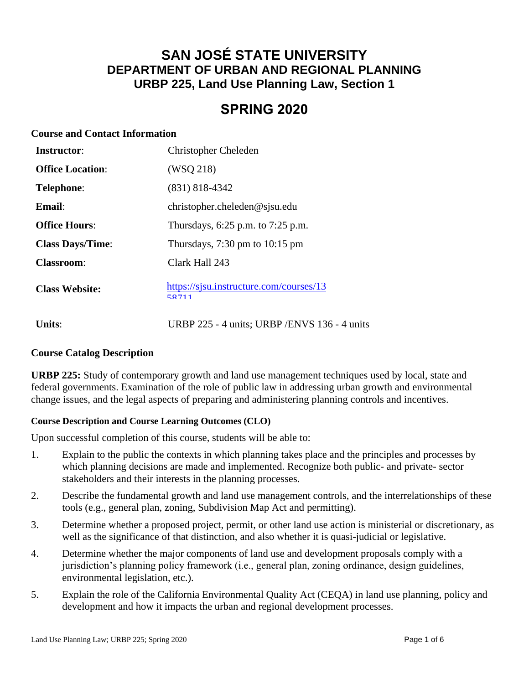# **SAN JOSÉ STATE UNIVERSITY DEPARTMENT OF URBAN AND REGIONAL PLANNING URBP 225, Land Use Planning Law, Section 1**

# **SPRING 2020**

#### **Course and Contact Information**

| <b>Instructor:</b>      | <b>Christopher Cheleden</b>                        |
|-------------------------|----------------------------------------------------|
| <b>Office Location:</b> | (WSO 218)                                          |
| Telephone:              | $(831)$ 818-4342                                   |
| $E$ mail:               | christopher.cheleden@sjsu.edu                      |
| <b>Office Hours:</b>    | Thursdays, 6:25 p.m. to 7:25 p.m.                  |
| <b>Class Days/Time:</b> | Thursdays, $7:30 \text{ pm}$ to $10:15 \text{ pm}$ |
| <b>Classroom:</b>       | Clark Hall 243                                     |
| <b>Class Website:</b>   | https://sjsu.instructure.com/courses/13<br>58711   |

**Units:** URBP 225 - 4 units; URBP /ENVS 136 - 4 units

#### **Course Catalog Description**

**URBP 225:** Study of contemporary growth and land use management techniques used by local, state and federal governments. Examination of the role of public law in addressing urban growth and environmental change issues, and the legal aspects of preparing and administering planning controls and incentives.

#### **Course Description and Course Learning Outcomes (CLO)**

Upon successful completion of this course, students will be able to:

- 1. Explain to the public the contexts in which planning takes place and the principles and processes by which planning decisions are made and implemented. Recognize both public- and private- sector stakeholders and their interests in the planning processes.
- 2. Describe the fundamental growth and land use management controls, and the interrelationships of these tools (e.g., general plan, zoning, Subdivision Map Act and permitting).
- 3. Determine whether a proposed project, permit, or other land use action is ministerial or discretionary, as well as the significance of that distinction, and also whether it is quasi-judicial or legislative.
- 4. Determine whether the major components of land use and development proposals comply with a jurisdiction's planning policy framework (i.e., general plan, zoning ordinance, design guidelines, environmental legislation, etc.).
- 5. Explain the role of the California Environmental Quality Act (CEQA) in land use planning, policy and development and how it impacts the urban and regional development processes.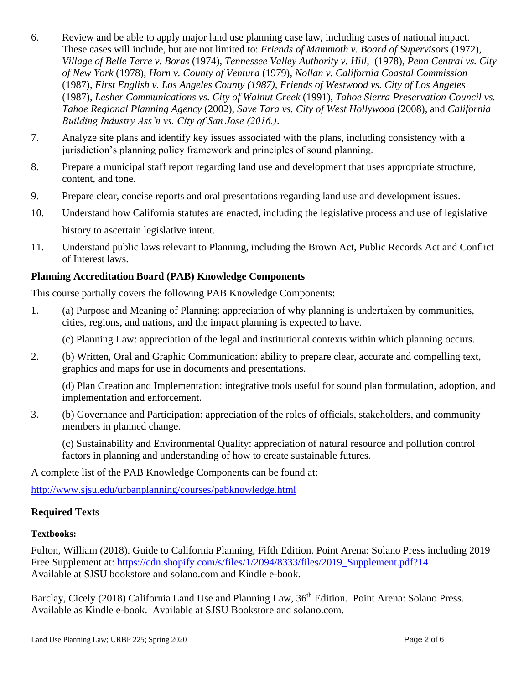- 6. Review and be able to apply major land use planning case law, including cases of national impact. These cases will include, but are not limited to: *Friends of Mammoth v. Board of Supervisors* (1972), *Village of Belle Terre v. Boras* (1974), *Tennessee Valley Authority v. Hill*, (1978), *Penn Central vs. City of New York* (1978), *Horn v. County of Ventura* (1979), *Nollan v. California Coastal Commission* (1987), *First English v. Los Angeles County (1987), Friends of Westwood vs. City of Los Angeles*  (1987), *Lesher Communications vs. City of Walnut Creek* (1991), *Tahoe Sierra Preservation Council vs. Tahoe Regional Planning Agency* (2002), *Save Tara vs. City of West Hollywood* (2008), and *California Building Industry Ass'n vs. City of San Jose (2016.)*.
- 7. Analyze site plans and identify key issues associated with the plans, including consistency with a jurisdiction's planning policy framework and principles of sound planning.
- 8. Prepare a municipal staff report regarding land use and development that uses appropriate structure, content, and tone.
- 9. Prepare clear, concise reports and oral presentations regarding land use and development issues.
- 10. Understand how California statutes are enacted, including the legislative process and use of legislative history to ascertain legislative intent.
- 11. Understand public laws relevant to Planning, including the Brown Act, Public Records Act and Conflict of Interest laws.

#### **Planning Accreditation Board (PAB) Knowledge Components**

This course partially covers the following PAB Knowledge Components:

1. (a) Purpose and Meaning of Planning: appreciation of why planning is undertaken by communities, cities, regions, and nations, and the impact planning is expected to have.

(c) Planning Law: appreciation of the legal and institutional contexts within which planning occurs.

2. (b) Written, Oral and Graphic Communication: ability to prepare clear, accurate and compelling text, graphics and maps for use in documents and presentations.

(d) Plan Creation and Implementation: integrative tools useful for sound plan formulation, adoption, and implementation and enforcement.

3. (b) Governance and Participation: appreciation of the roles of officials, stakeholders, and community members in planned change.

(c) Sustainability and Environmental Quality: appreciation of natural resource and pollution control factors in planning and understanding of how to create sustainable futures.

A complete list of the PAB Knowledge Components can be found at:

<http://www.sjsu.edu/urbanplanning/courses/pabknowledge.html>

#### **Required Texts**

#### **Textbooks:**

Fulton, William (2018). Guide to California Planning, Fifth Edition. Point Arena: Solano Press including 2019 Free Supplement at: [https://cdn.shopify.com/s/files/1/2094/8333/files/2019\\_Supplement.pdf?14](https://cdn.shopify.com/s/files/1/2094/8333/files/2019_Supplement.pdf?14) Available at SJSU bookstore and solano.com and Kindle e-book.

Barclay, Cicely (2018) California Land Use and Planning Law, 36<sup>th</sup> Edition. Point Arena: Solano Press. Available as Kindle e-book. Available at SJSU Bookstore and solano.com.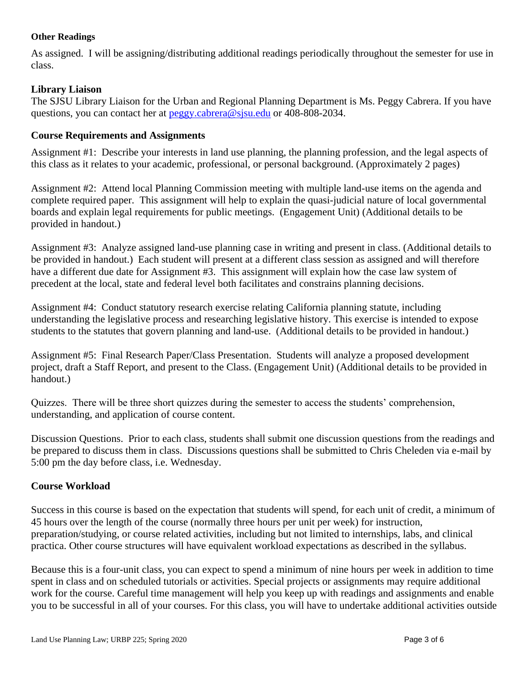#### **Other Readings**

As assigned. I will be assigning/distributing additional readings periodically throughout the semester for use in class.

#### **Library Liaison**

The SJSU Library Liaison for the Urban and Regional Planning Department is Ms. Peggy Cabrera. If you have questions, you can contact her at [peggy.cabrera@sjsu.edu](mailto:peggy.cabrera@sjsu.edu) or 408-808-2034.

#### **Course Requirements and Assignments**

Assignment #1: Describe your interests in land use planning, the planning profession, and the legal aspects of this class as it relates to your academic, professional, or personal background. (Approximately 2 pages)

Assignment #2: Attend local Planning Commission meeting with multiple land-use items on the agenda and complete required paper. This assignment will help to explain the quasi-judicial nature of local governmental boards and explain legal requirements for public meetings. (Engagement Unit) (Additional details to be provided in handout.)

Assignment #3: Analyze assigned land-use planning case in writing and present in class. (Additional details to be provided in handout.) Each student will present at a different class session as assigned and will therefore have a different due date for Assignment #3. This assignment will explain how the case law system of precedent at the local, state and federal level both facilitates and constrains planning decisions.

Assignment #4: Conduct statutory research exercise relating California planning statute, including understanding the legislative process and researching legislative history. This exercise is intended to expose students to the statutes that govern planning and land-use. (Additional details to be provided in handout.)

Assignment #5: Final Research Paper/Class Presentation. Students will analyze a proposed development project, draft a Staff Report, and present to the Class. (Engagement Unit) (Additional details to be provided in handout.)

Quizzes. There will be three short quizzes during the semester to access the students' comprehension, understanding, and application of course content.

Discussion Questions. Prior to each class, students shall submit one discussion questions from the readings and be prepared to discuss them in class. Discussions questions shall be submitted to Chris Cheleden via e-mail by 5:00 pm the day before class, i.e. Wednesday.

#### **Course Workload**

Success in this course is based on the expectation that students will spend, for each unit of credit, a minimum of 45 hours over the length of the course (normally three hours per unit per week) for instruction, preparation/studying, or course related activities, including but not limited to internships, labs, and clinical practica. Other course structures will have equivalent workload expectations as described in the syllabus.

Because this is a four-unit class, you can expect to spend a minimum of nine hours per week in addition to time spent in class and on scheduled tutorials or activities. Special projects or assignments may require additional work for the course. Careful time management will help you keep up with readings and assignments and enable you to be successful in all of your courses. For this class, you will have to undertake additional activities outside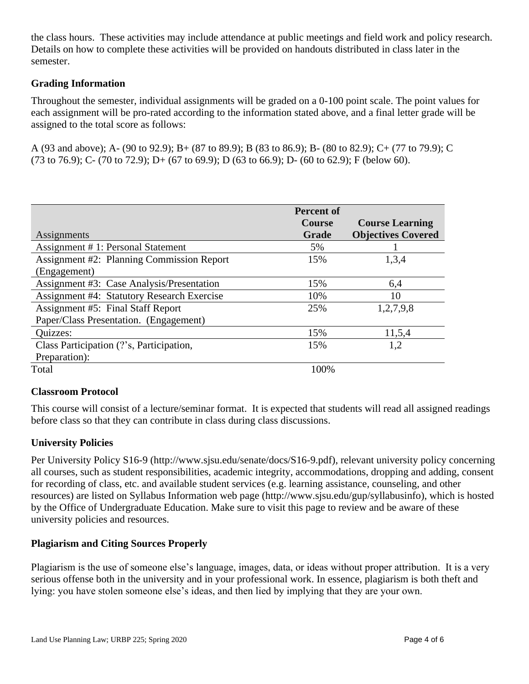the class hours. These activities may include attendance at public meetings and field work and policy research. Details on how to complete these activities will be provided on handouts distributed in class later in the semester.

#### **Grading Information**

Throughout the semester, individual assignments will be graded on a 0-100 point scale. The point values for each assignment will be pro-rated according to the information stated above, and a final letter grade will be assigned to the total score as follows:

A (93 and above); A- (90 to 92.9); B+ (87 to 89.9); B (83 to 86.9); B- (80 to 82.9); C+ (77 to 79.9); C (73 to 76.9); C- (70 to 72.9); D+ (67 to 69.9); D (63 to 66.9); D- (60 to 62.9); F (below 60).

| Assignments                                                      | <b>Percent of</b><br><b>Course</b><br>Grade | <b>Course Learning</b><br><b>Objectives Covered</b> |
|------------------------------------------------------------------|---------------------------------------------|-----------------------------------------------------|
| Assignment #1: Personal Statement                                | 5%                                          |                                                     |
| <b>Assignment #2: Planning Commission Report</b><br>(Engagement) | 15%                                         | 1,3,4                                               |
| Assignment #3: Case Analysis/Presentation                        | 15%                                         | 6,4                                                 |
| <b>Assignment #4: Statutory Research Exercise</b>                | 10%                                         | 10                                                  |
| <b>Assignment #5: Final Staff Report</b>                         | 25%                                         | 1,2,7,9,8                                           |
| Paper/Class Presentation. (Engagement)                           |                                             |                                                     |
| Quizzes:                                                         | 15%                                         | 11,5,4                                              |
| Class Participation (?'s, Participation,                         | 15%                                         | 1,2                                                 |
| Preparation):                                                    |                                             |                                                     |
| Total                                                            | 100%                                        |                                                     |

### **Classroom Protocol**

This course will consist of a lecture/seminar format. It is expected that students will read all assigned readings before class so that they can contribute in class during class discussions.

### **University Policies**

Per University Policy S16-9 (http://www.sjsu.edu/senate/docs/S16-9.pdf), relevant university policy concerning all courses, such as student responsibilities, academic integrity, accommodations, dropping and adding, consent for recording of class, etc. and available student services (e.g. learning assistance, counseling, and other resources) are listed on Syllabus Information web page (http://www.sjsu.edu/gup/syllabusinfo), which is hosted by the Office of Undergraduate Education. Make sure to visit this page to review and be aware of these university policies and resources.

### **Plagiarism and Citing Sources Properly**

Plagiarism is the use of someone else's language, images, data, or ideas without proper attribution. It is a very serious offense both in the university and in your professional work. In essence, plagiarism is both theft and lying: you have stolen someone else's ideas, and then lied by implying that they are your own.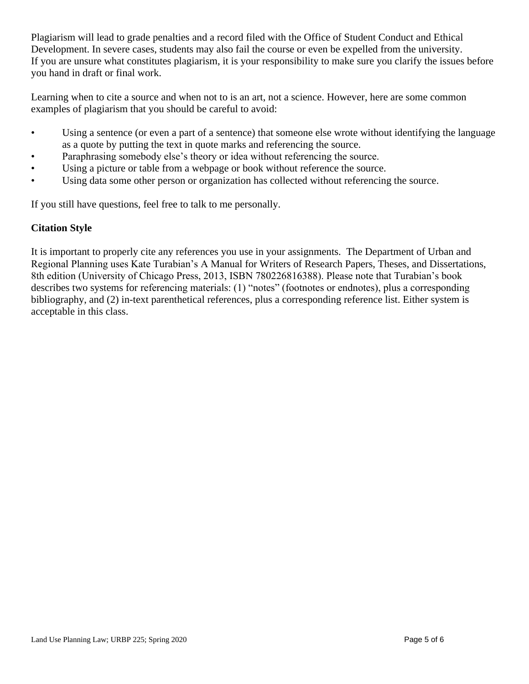Plagiarism will lead to grade penalties and a record filed with the Office of Student Conduct and Ethical Development. In severe cases, students may also fail the course or even be expelled from the university. If you are unsure what constitutes plagiarism, it is your responsibility to make sure you clarify the issues before you hand in draft or final work.

Learning when to cite a source and when not to is an art, not a science. However, here are some common examples of plagiarism that you should be careful to avoid:

- Using a sentence (or even a part of a sentence) that someone else wrote without identifying the language as a quote by putting the text in quote marks and referencing the source.
- Paraphrasing somebody else's theory or idea without referencing the source.
- Using a picture or table from a webpage or book without reference the source.
- Using data some other person or organization has collected without referencing the source.

If you still have questions, feel free to talk to me personally.

#### **Citation Style**

It is important to properly cite any references you use in your assignments. The Department of Urban and Regional Planning uses Kate Turabian's A Manual for Writers of Research Papers, Theses, and Dissertations, 8th edition (University of Chicago Press, 2013, ISBN 780226816388). Please note that Turabian's book describes two systems for referencing materials: (1) "notes" (footnotes or endnotes), plus a corresponding bibliography, and (2) in-text parenthetical references, plus a corresponding reference list. Either system is acceptable in this class.